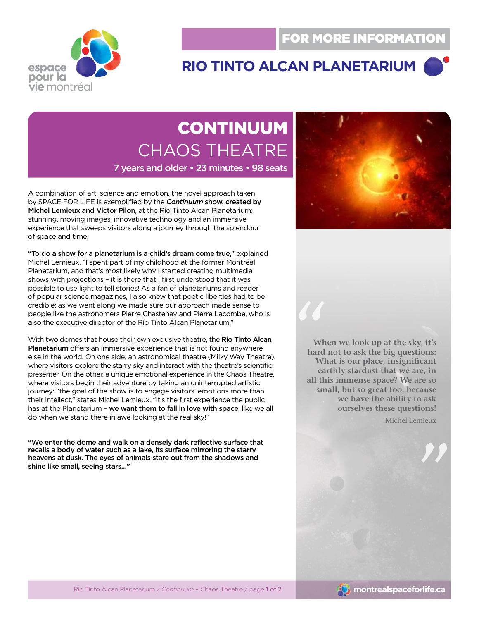

## **Rio Tinto Alcan PlanEtarium**

# **CONTINUUM** CHAOS THEATRE

7 years and older • 23 minutes • 98 seats

A combination of art, science and emotion, the novel approach taken by SPACE FOR LIFE is exemplified by the *Continuum* show, created by Michel Lemieux and Victor Pilon, at the Rio Tinto Alcan Planetarium: stunning, moving images, innovative technology and an immersive experience that sweeps visitors along a journey through the splendour of space and time.

"To do a show for a planetarium is a child's dream come true," explained Michel Lemieux. "I spent part of my childhood at the former Montréal Planetarium, and that's most likely why I started creating multimedia shows with projections – it is there that I first understood that it was possible to use light to tell stories! As a fan of planetariums and reader of popular science magazines, I also knew that poetic liberties had to be credible; as we went along we made sure our approach made sense to people like the astronomers Pierre Chastenay and Pierre Lacombe, who is also the executive director of the Rio Tinto Alcan Planetarium."

With two domes that house their own exclusive theatre, the Rio Tinto Alcan Planetarium offers an immersive experience that is not found anywhere else in the world. On one side, an astronomical theatre (Milky Way Theatre), where visitors explore the starry sky and interact with the theatre's scientific presenter. On the other, a unique emotional experience in the Chaos Theatre, where visitors begin their adventure by taking an uninterrupted artistic journey: "the goal of the show is to engage visitors' emotions more than their intellect," states Michel Lemieux. "It's the first experience the public has at the Planetarium - we want them to fall in love with space, like we all do when we stand there in awe looking at the real sky!"

"We enter the dome and walk on a densely dark reflective surface that recalls a body of water such as a lake, its surface mirroring the starry heavens at dusk. The eyes of animals stare out from the shadows and shine like small, seeing stars…"



**10 When we look up at the sky, it's hard not to ask the big questions: What is our place, insignificant earthly stardust that we are, in all this immense space? We are so small, but so great too, because we have the ability to ask ourselves these questions!**

Michel Lemieux

**"**